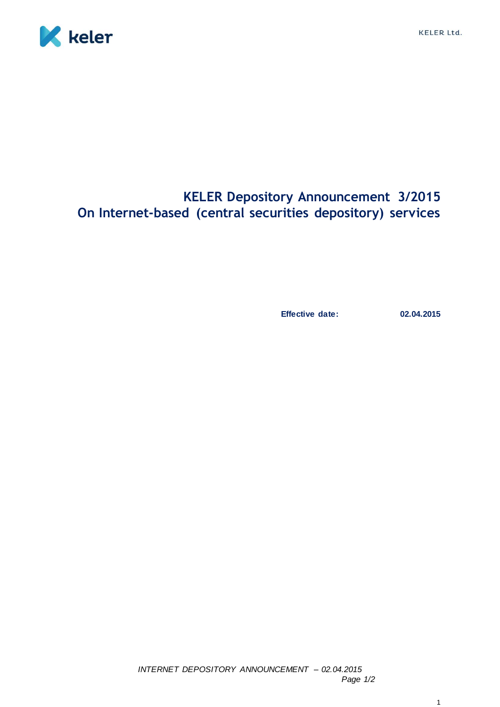

## **KELER Depository Announcement 3/2015 On Internet-based (central securities depository) services**

**Effective date: 02.04.2015**